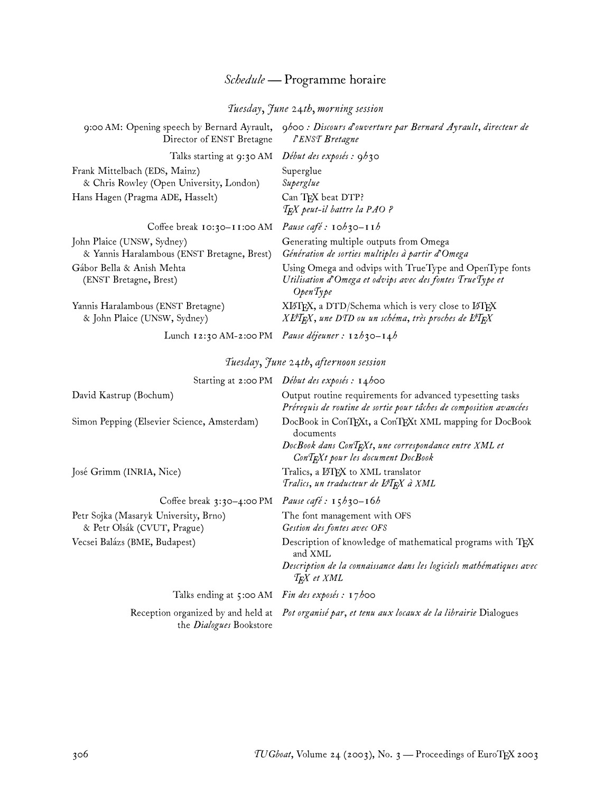# *Schedule —* Programme horaire

### *Tuesday, June 24th, morning session*

| 9:00 AM: Opening speech by Bernard Ayrault,<br>Director of ENST Bretagne  | 9h00: Discours d'ouverture par Bernard Ayrault, directeur de<br>l'ENST Bretagne                                                      |
|---------------------------------------------------------------------------|--------------------------------------------------------------------------------------------------------------------------------------|
| Talks starting at 9:30 AM                                                 | Début des exposés : 9h30                                                                                                             |
| Frank Mittelbach (EDS, Mainz)<br>& Chris Rowley (Open University, London) | Superglue<br>Superglue                                                                                                               |
| Hans Hagen (Pragma ADE, Hasselt)                                          | Can TFX beat DTP?<br>$T_F X$ peut-il battre la PAO ?                                                                                 |
| Coffee break 10:30-11:00 AM                                               | Pause café : $\mathbf{1} \circ b \circ \mathbf{3} \circ - \mathbf{1} \mathbf{1} b$                                                   |
| John Plaice (UNSW, Sydney)<br>& Yannis Haralambous (ENST Bretagne, Brest) | Generating multiple outputs from Omega<br>Génération de sorties multiples à partir d'Omega                                           |
| Gábor Bella & Anish Mehta<br>(ENST Bretagne, Brest)                       | Using Omega and odvips with TrueType and OpenType fonts<br>Utilisation d'Omega et odvips avec des fontes TrueType et<br>OpenType     |
| Yannis Haralambous (ENST Bretagne)<br>& John Plaice (UNSW, Sydney)        | XIATEX, a DTD/Schema which is very close to IATEX<br>$X \cancel{E T_K} X$ , une DTD ou un schéma, très proches de $\cancel{E T_K} X$ |
|                                                                           | Lunch 12:30 AM-2:00 PM Pause déjeuner : 12h30-14h                                                                                    |

# *Tuesday, June 24th, afternoon session*

|                                                                      | Starting at 2:00 PM Début des exposés : 14h00                                                                                                                                     |
|----------------------------------------------------------------------|-----------------------------------------------------------------------------------------------------------------------------------------------------------------------------------|
| David Kastrup (Bochum)                                               | Output routine requirements for advanced typesetting tasks<br>Prérequis de routine de sortie pour tâches de composition avancées                                                  |
| Simon Pepping (Elsevier Science, Amsterdam)                          | DocBook in ConTEXt, a ConTEXt XML mapping for DocBook<br>documents<br>DocBook dans $ConT_RXt$ , une correspondance entre XML et<br>ConT <sub>E</sub> Xt pour les document DocBook |
| José Grimm (INRIA, Nice)                                             | Tralics, a ETFX to XML translator<br>Tralics, un traducteur de L <sup>AT</sup> FX à XML                                                                                           |
| Coffee break 3:30-4:00 PM Pause café : $15h30-16h$                   |                                                                                                                                                                                   |
| Petr Sojka (Masaryk University, Brno)<br>& Petr Olsák (CVUT, Prague) | The font management with OFS<br>Gestion des fontes avec OFS                                                                                                                       |
| Vecsei Balázs (BME, Budapest)                                        | Description of knowledge of mathematical programs with TFX<br>and XML                                                                                                             |
|                                                                      | Description de la connaissance dans les logiciels mathématiques avec<br>T <sub>F</sub> X et XML                                                                                   |
| Talks ending at 5:00 AM Fin des exposés : 17h00                      |                                                                                                                                                                                   |
| the <i>Dialogues</i> Bookstore                                       | Reception organized by and held at Pot organisé par, et tenu aux locaux de la librairie Dialogues                                                                                 |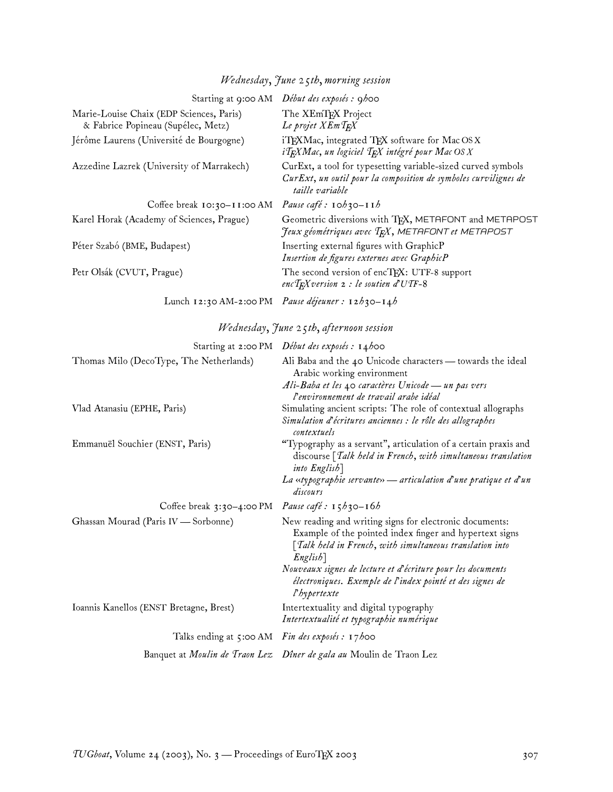### Starting at 9:00 AM *Début des exposés : 9h00* Marie-Louise Chaix (EDP Sciences, Paris) & Fabrice Popineau (Supélec, Metz) The XEmTFX Project *Le projet XEmTEX* Jérôme Laurens (Université de Bourgogne) iTEXMac, integrated TEX software for Mac OS X *iTEXMac, un logiciel TEX intégré pour Mac OS X* Azzedine Lazrek (University of Marrakech) CurExt, a tool for typesetting variable-sized curved symbols *CurExt, un outil pour la composition de symboles curvilignes de taille variable* Coffee break 10:30–11:00 AM *Pause café : 10h30–11h* Karel Horak (Academy of Sciences, Prague) Geometric diversions with TEX, METAFONT and METAPOST *Jeux géométriques avec TEX, METAFONT et METAPOST* Péter Szabó (BME, Budapest) **Inserting external figures with GraphicP** *Insertion de figures externes avec GraphicP* Petr Olsák (CVUT, Prague) The second version of encT<sub>R</sub>X: UTF-8 support *encTEXversion 2 : le soutien d'UTF-8* Lunch 12:30 AM-2:00 PM *Pause déjeuner : 12h30–14h Wednesday, June 25th, afternoon session* Starting at 2:00 PM *Début des exposés : 14h00* Thomas Milo (DecoType, The Netherlands) Ali Baba and the 40 Unicode characters — towards the ideal Arabic working environment *Ali-Baba et les 40 caractères Unicode— un pas vers l'environnement de travail arabe idéal* Vlad Atanasiu (EPHE, Paris) Simulating ancient scripts: The role of contextual allographs *Simulation d'écritures anciennes : le rôle des allographes contextuels* Emmanuël Souchier (ENST, Paris) "Typography as a servant", articulation of a certain praxis and discourse *[Talk held in French, with simultaneous translation into English] La «typographie servante»— articulation d'une pratique et d'un discours* Coffee break 3:30–4:00 PM *Pause café : 15h30–16h* Ghassan Mourad (Paris IV — Sorbonne) New reading and writing signs for electronic documents: Example of the pointed index finger and hypertext signs *[Talk held in French, with simultaneous translation into English] Nouveaux signes de lecture et d'écriture pour les documents électroniques. Exemple de l'index pointé et des signes de l'hypertexte* Ioannis Kanellos (ENST Bretagne, Brest) Intertextuality and digital typography *Intertextualité et typographie numérique* Talks ending at 5:00 AM *Fin des exposés : 17h00* Banquet at *Moulin de Traon Lez Dîner de gala au* Moulin de Traon Lez

#### *Wednesday, June 25th, morning session*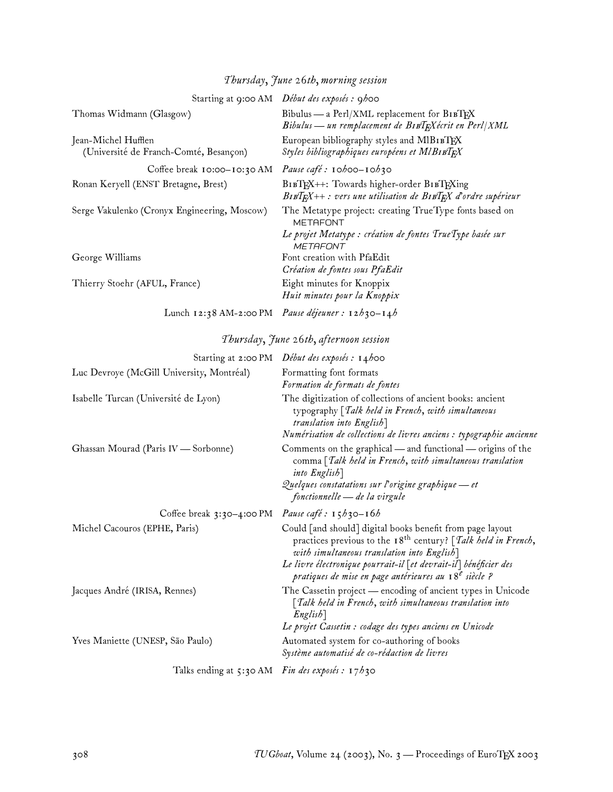| Thursday, June 26th, morning session |                                              |
|--------------------------------------|----------------------------------------------|
|                                      | Starting at 9:00 AM Début des exposés : 9h00 |
|                                      | $P''$ 1 $P''$ 1/373 $\epsilon$               |

| Thomas Widmann (Glasgow)                                      | Bibulus — a Perl/XML replacement for $B \iota B T F X$<br>Bibulus — un remplacement de BIBTFXecrit en Perl XML                                             |
|---------------------------------------------------------------|------------------------------------------------------------------------------------------------------------------------------------------------------------|
| Jean-Michel Hufflen<br>(Université de Franch-Comté, Besançon) | European bibliography styles and MIBIBTEX<br>Styles bibliographiques européens et MlBIBTEX                                                                 |
| Coffee break 10:00-10:30 AM                                   | Pause café : $\mathbf{10}$ h00- $\mathbf{10}$ h30                                                                                                          |
| Ronan Keryell (ENST Bretagne, Brest)                          | BIBTEX++: Towards higher-order BIBTEXing<br>$B$ IB $T$ $E$ X++: vers une utilisation de $B$ IB $T$ $E$ X d'ordre supérieur                                 |
| Serge Vakulenko (Cronyx Engineering, Moscow)                  | The Metatype project: creating TrueType fonts based on<br><b>METAFONT</b><br>Le projet Metatype : création de fontes TrueType basée sur<br><b>METAFONT</b> |
| George Williams                                               | Font creation with PfaEdit<br>Création de fontes sous PfaEdit                                                                                              |
| Thierry Stoehr (AFUL, France)                                 | Eight minutes for Knoppix<br>Huit minutes pour la Knoppix                                                                                                  |
|                                                               | Lunch 12:38 AM-2:00 PM Pause déjeuner : 12h30-14h                                                                                                          |

# *Thursday, June 26th, afternoon session*

|                                                 | Starting at 2:00 PM Début des exposés : 14h00                                                                                                                                                                                                                                                                                          |
|-------------------------------------------------|----------------------------------------------------------------------------------------------------------------------------------------------------------------------------------------------------------------------------------------------------------------------------------------------------------------------------------------|
| Luc Devroye (McGill University, Montréal)       | Formatting font formats<br>Formation de formats de fontes                                                                                                                                                                                                                                                                              |
| Isabelle Turcan (Université de Lyon)            | The digitization of collections of ancient books: ancient<br>typography [Talk held in French, with simultaneous<br>translation into English]                                                                                                                                                                                           |
| Ghassan Mourad (Paris IV - Sorbonne)            | Numérisation de collections de livres anciens : typographie ancienne<br>Comments on the graphical — and functional — origins of the<br>comma [Talk held in French, with simultaneous translation<br>into English<br>Quelques constatations sur l'origine graphique — et<br>fonctionnelle — de la virgule                               |
| Coffee break $3:30-4:00 \text{ PM}$             | Pause café : $15h_3$ 0-16h                                                                                                                                                                                                                                                                                                             |
| Michel Cacouros (EPHE, Paris)                   | Could [and should] digital books benefit from page layout<br>practices previous to the 18 <sup>th</sup> century? [ <i>Talk held in French</i> ,<br>with simultaneous translation into English]<br>Le livre électronique pourrait-il [et devrait-il] bénéficier des<br>pratiques de mise en page antérieures au 18 <sup>e</sup> siècle? |
| Jacques André (IRISA, Rennes)                   | The Cassetin project - encoding of ancient types in Unicode<br>$\lceil \textit{Talk} \textit{ held in French}, \textit{with simultaneous translation into}$<br>$English$ ]<br>Le projet Cassetin : codage des types anciens en Unicode                                                                                                 |
| Yves Maniette (UNESP, São Paulo)                | Automated system for co-authoring of books<br>Système automatisé de co-rédaction de livres                                                                                                                                                                                                                                             |
| Talks ending at 5:30 AM Fin des exposés : 17h30 |                                                                                                                                                                                                                                                                                                                                        |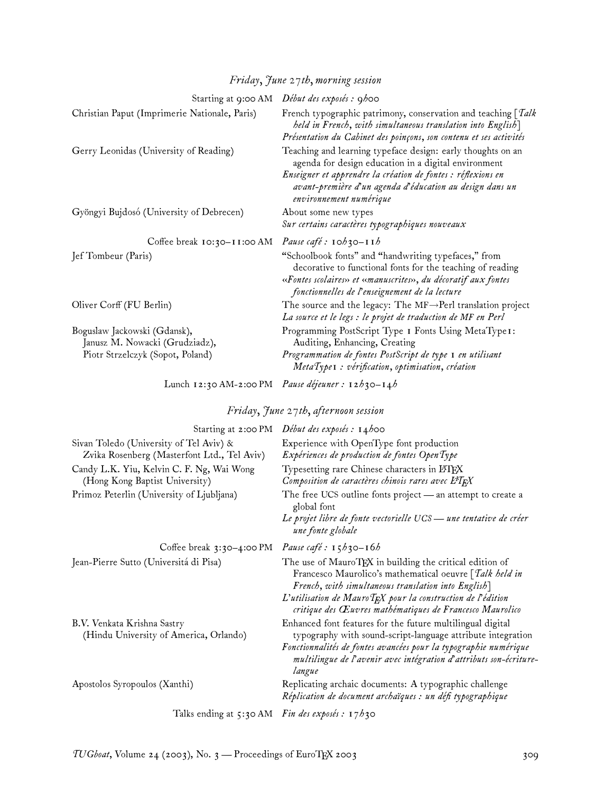# *Friday, June 27th, morning session*

| Starting at 9:00 AM                                                                                | Début des exposés : 9h00                                                                                                                                                                                                                                                   |
|----------------------------------------------------------------------------------------------------|----------------------------------------------------------------------------------------------------------------------------------------------------------------------------------------------------------------------------------------------------------------------------|
| Christian Paput (Imprimerie Nationale, Paris)                                                      | French typographic patrimony, conservation and teaching $\lceil \mathit{Talk} \rceil$<br>held in French, with simultaneous translation into English]<br>Présentation du Cabinet des poinçons, son contenu et ses activités                                                 |
| Gerry Leonidas (University of Reading)                                                             | Teaching and learning typeface design: early thoughts on an<br>agenda for design education in a digital environment<br>Enseigner et apprendre la création de fontes : réflexions en<br>avant-première d'un agenda d'éducation au design dans un<br>environnement numérique |
| Gyöngyi Bujdosó (University of Debrecen)                                                           | About some new types<br>Sur certains caractères typographiques nouveaux                                                                                                                                                                                                    |
|                                                                                                    |                                                                                                                                                                                                                                                                            |
| Coffee break $10:30-11:00$ AM                                                                      | Pause café : $\mathbf{10}b\mathbf{30} - \mathbf{11}b$                                                                                                                                                                                                                      |
| Jef Tombeur (Paris)                                                                                | "Schoolbook fonts" and "handwriting typefaces," from<br>decorative to functional fonts for the teaching of reading<br>«Fontes scolaires» et «manuscrites», du décoratif aux fontes<br>fonctionnelles de l'enseignement de la lecture                                       |
| Oliver Corff (FU Berlin)                                                                           | The source and the legacy: The $MF \rightarrow Perl$ translation project                                                                                                                                                                                                   |
|                                                                                                    | La source et le legs : le projet de traduction de MF en Perl                                                                                                                                                                                                               |
| Boguslaw Jackowski (Gdansk),<br>Janusz M. Nowacki (Grudziadz),<br>Piotr Strzelczyk (Sopot, Poland) | Programming PostScript Type I Fonts Using MetaType I:<br>Auditing, Enhancing, Creating<br>Programmation de fontes PostScript de type I en utilisant                                                                                                                        |
|                                                                                                    | MetaType <sub>1</sub> : vérification, optimisation, création                                                                                                                                                                                                               |

Lunch 12:30 AM-2:00 PM *Pause déjeuner : 12h30–14h*

# *Friday, June 27th, afternoon session*

| Starting at 2:00 PM                                                                                     | Début des exposés : $14$ hoo                                                                                                                                                                                                                                                                                     |
|---------------------------------------------------------------------------------------------------------|------------------------------------------------------------------------------------------------------------------------------------------------------------------------------------------------------------------------------------------------------------------------------------------------------------------|
| Sivan Toledo (University of Tel Aviv) &<br>Zvika Rosenberg (Masterfont Ltd., Tel Aviv)                  | Experience with OpenType font production<br>Expériences de production de fontes OpenType                                                                                                                                                                                                                         |
| Candy L.K. Yiu, Kelvin C. F. Ng, Wai Wong<br>(Hong Kong Baptist University)                             | Typesetting rare Chinese characters in LATEX<br>Composition de caractères chinois rares avec L <sup>4</sup> T <sub>F</sub> X                                                                                                                                                                                     |
| Primoz Peterlin (University of Ljubljana)                                                               | The free UCS outline fonts project - an attempt to create a<br>global font                                                                                                                                                                                                                                       |
|                                                                                                         | Le projet libre de fonte vectorielle UCS – une tentative de créer<br>une fonte globale                                                                                                                                                                                                                           |
| Coffee break $3:30-4:00 \text{ PM}$                                                                     | Pause café : $15h_3$ 0-16 <i>h</i>                                                                                                                                                                                                                                                                               |
| Jean-Pierre Sutto (Universitá di Pisa)                                                                  | The use of MauroTEX in building the critical edition of<br>Francesco Maurolico's mathematical oeuvre [Talk held in<br>French, with simultaneous translation into English]<br>L'utilisation de Mauro $T$ $\bar{F}X$ pour la construction de l'édition<br>critique des Œuvres mathématiques de Francesco Maurolico |
| B.V. Venkata Krishna Sastry<br>(Hindu University of America, Orlando)                                   | Enhanced font features for the future multilingual digital<br>typography with sound-script-language attribute integration<br>Fonctionnalités de fontes avancées pour la typographie numérique<br>multilingue de l'avenir avec intégration d'attributs son-écriture-<br>langue                                    |
| Apostolos Syropoulos (Xanthi)                                                                           | Replicating archaic documents: A typographic challenge<br>Réplication de document archaïques : un défi typographique                                                                                                                                                                                             |
| $T_{\rm eff}$ and $T_{\rm tot}$ at $\tau_{\rm eff}$ $\Lambda M$ $F_{\rm eff}$ december $\tau_{\rm eff}$ |                                                                                                                                                                                                                                                                                                                  |

Talks ending at 5:30 AM *Fin des exposés : 17h30*